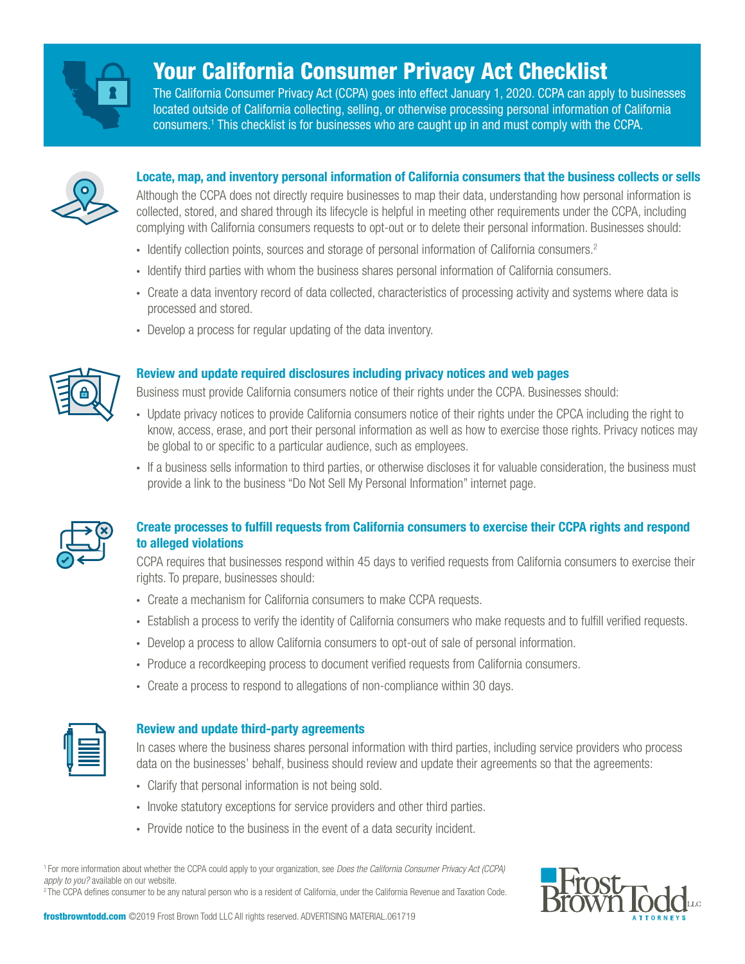

# Your California Consumer Privacy Act Checklist

The California Consumer Privacy Act (CCPA) goes into effect January 1, 2020. CCPA can apply to businesses located outside of California collecting, selling, or otherwise processing personal information of California consumers.1 This checklist is for businesses who are caught up in and must comply with the CCPA.



## **Locate, map, and inventory personal information of California consumers that the business collects or sells**

Although the CCPA does not directly require businesses to map their data, understanding how personal information is collected, stored, and shared through its lifecycle is helpful in meeting other requirements under the CCPA, including complying with California consumers requests to opt-out or to delete their personal information. Businesses should:

- · Identify collection points, sources and storage of personal information of California consumers.2
- · Identify third parties with whom the business shares personal information of California consumers.
- · Create a data inventory record of data collected, characteristics of processing activity and systems where data is processed and stored.
- · Develop a process for regular updating of the data inventory.



## **Review and update required disclosures including privacy notices and web pages**

Business must provide California consumers notice of their rights under the CCPA. Businesses should:

- · Update privacy notices to provide California consumers notice of their rights under the CPCA including the right to know, access, erase, and port their personal information as well as how to exercise those rights. Privacy notices may be global to or specific to a particular audience, such as employees.
- · If a business sells information to third parties, or otherwise discloses it for valuable consideration, the business must provide a link to the business "Do Not Sell My Personal Information" internet page.



# **Create processes to fulfill requests from California consumers to exercise their CCPA rights and respond to alleged violations**

CCPA requires that businesses respond within 45 days to verified requests from California consumers to exercise their rights. To prepare, businesses should:

- · Create a mechanism for California consumers to make CCPA requests.
- · Establish a process to verify the identity of California consumers who make requests and to fulfill verified requests.
- · Develop a process to allow California consumers to opt-out of sale of personal information.
- · Produce a recordkeeping process to document verified requests from California consumers.
- · Create a process to respond to allegations of non-compliance within 30 days.

## **Review and update third-party agreements**

In cases where the business shares personal information with third parties, including service providers who process data on the businesses' behalf, business should review and update their agreements so that the agreements:

- · Clarify that personal information is not being sold.
- · Invoke statutory exceptions for service providers and other third parties.
- · Provide notice to the business in the event of a data security incident.

1 For more information about whether the CCPA could apply to your organization, see *Does the California Consumer Privacy Act (CCPA) apply to you?* available on our website. 2 The CCPA defines consumer to be any natural person who is a resident of California, under the California Revenue and Taxation Code.



frostbrowntodd.com ©2019 Frost Brown Todd LLC All rights reserved. ADVERTISING MATERIAL.061719